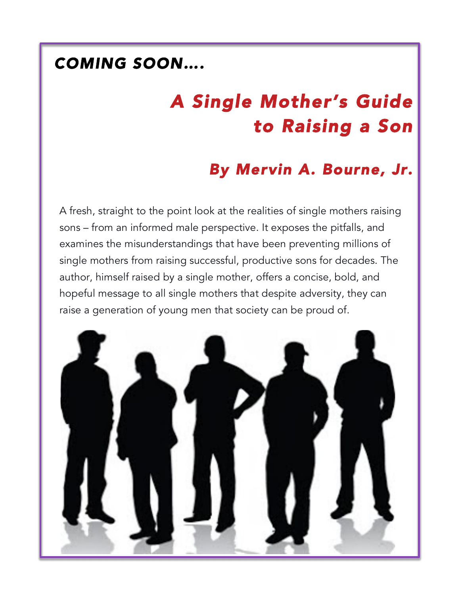### *COMING SOON….*

# *A Single Mother's Guide to Raising a Son*

### *By Mervin A. Bourne, Jr.*

A fresh, straight to the point look at the realities of single mothers raising sons – from an informed male perspective. It exposes the pitfalls, and examines the misunderstandings that have been preventing millions of single mothers from raising successful, productive sons for decades. The author, himself raised by a single mother, offers a concise, bold, and hopeful message to all single mothers that despite adversity, they can raise a generation of young men that society can be proud of.

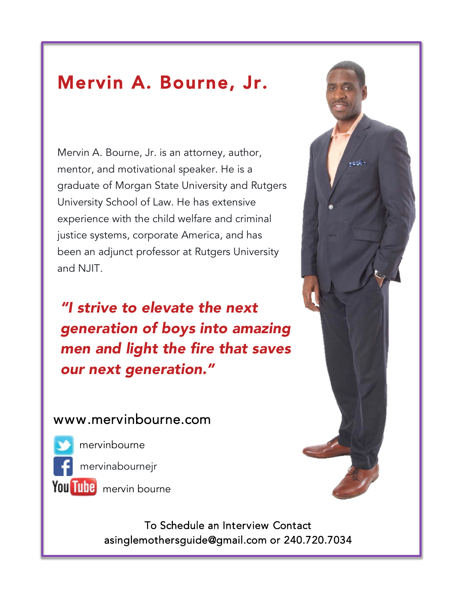## Mervin A. Bourne, Jr.

Mervin A. Bourne, Jr. is an attorney, author, mentor, and motivational speaker. He is a graduate of Morgan State University and Rutgers University School of Law. He has extensive experience with the child welfare and criminal justice systems, corporate America, and has been an adjunct professor at Rutgers University and NJIT.

*"I strive to elevate the next generation of boys into amazing men and light the fire that saves our next generation."*

#### www.mervinbourne.com

mervinbourne

mervinabournejr

You Tube mervin bourne

To Schedule an Interview Contact asinglemothersguide@gmail.com or 240.720.7034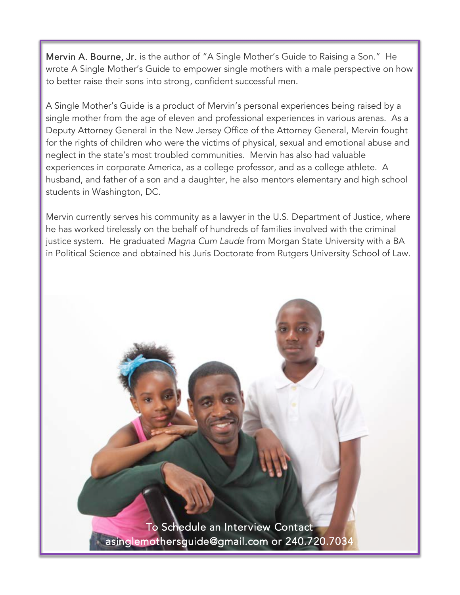Mervin A. Bourne, Jr. is the author of "A Single Mother's Guide to Raising a Son." He wrote A Single Mother's Guide to empower single mothers with a male perspective on how to better raise their sons into strong, confident successful men.

A Single Mother's Guide is a product of Mervin's personal experiences being raised by a single mother from the age of eleven and professional experiences in various arenas. As a Deputy Attorney General in the New Jersey Office of the Attorney General, Mervin fought for the rights of children who were the victims of physical, sexual and emotional abuse and neglect in the state's most troubled communities. Mervin has also had valuable experiences in corporate America, as a college professor, and as a college athlete. A husband, and father of a son and a daughter, he also mentors elementary and high school students in Washington, DC.

Mervin currently serves his community as a lawyer in the U.S. Department of Justice, where he has worked tirelessly on the behalf of hundreds of families involved with the criminal justice system. He graduated *Magna Cum Laude* from Morgan State University with a BA in Political Science and obtained his Juris Doctorate from Rutgers University School of Law.